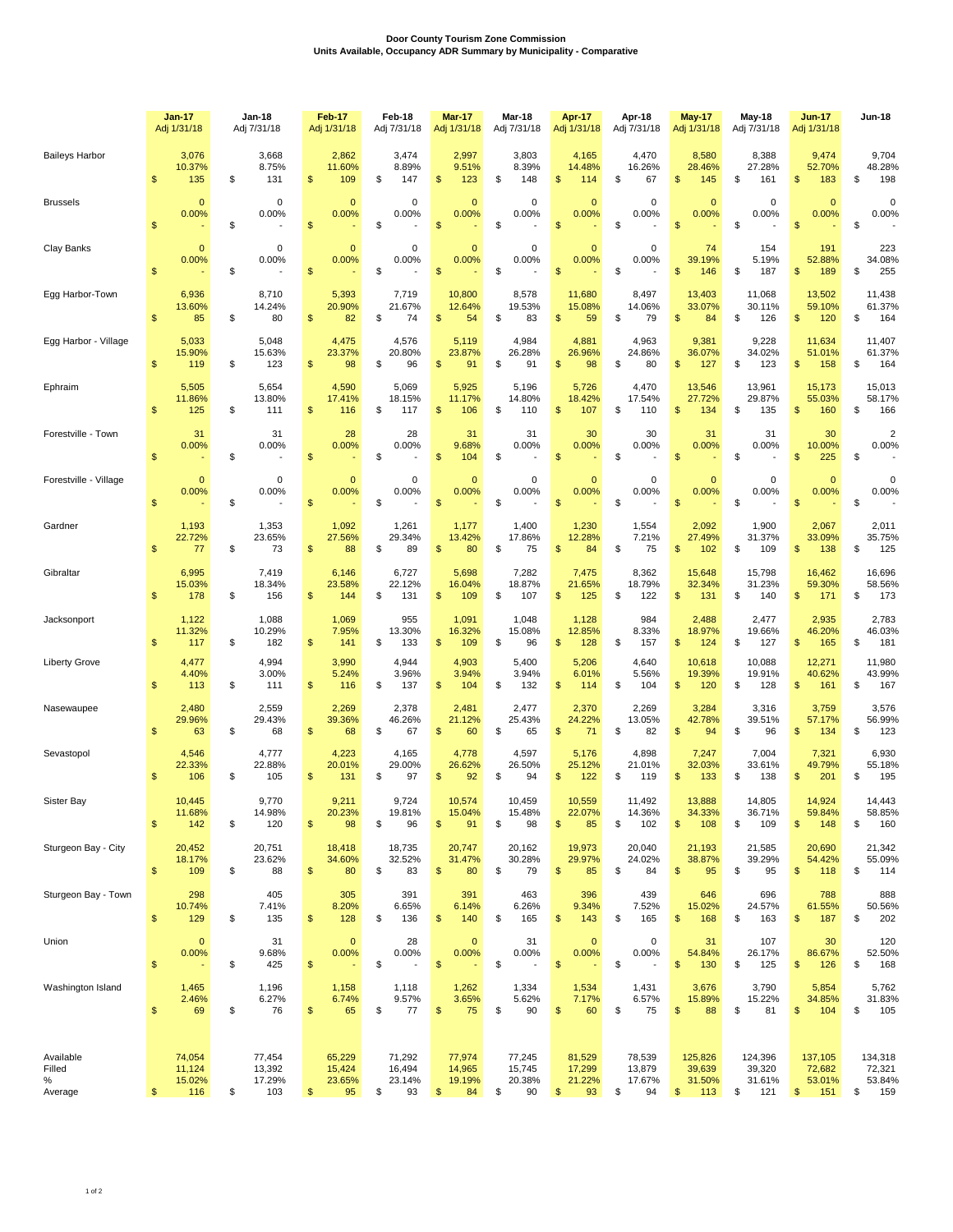## **Door County Tourism Zone Commission Units Available, Occupancy ADR Summary by Municipality - Comparative**

|                                     | <b>Jan-17</b><br>Adj 1/31/18 |                                        | Jan-18<br>Adj 7/31/18                   |                | <b>Feb-17</b><br>Adj 1/31/18                     |    | Feb-18<br>Adj 7/31/18            |                | <b>Mar-17</b><br>Adj 1/31/18     | Mar-18<br>Adj 7/31/18 |                                  | Apr-17<br>Adj 1/31/18 |                                  | Apr-18<br>Adj 7/31/18 |                                        | <b>May-17</b><br>Adj 1/31/18 |                                    | May-18<br>Adj 7/31/18                    |                | <b>Jun-17</b><br>Adj 1/31/18       | Jun-18                                   |
|-------------------------------------|------------------------------|----------------------------------------|-----------------------------------------|----------------|--------------------------------------------------|----|----------------------------------|----------------|----------------------------------|-----------------------|----------------------------------|-----------------------|----------------------------------|-----------------------|----------------------------------------|------------------------------|------------------------------------|------------------------------------------|----------------|------------------------------------|------------------------------------------|
| <b>Baileys Harbor</b>               | \$                           | 3,076<br>10.37%<br>135                 | \$<br>3,668<br>8.75%<br>131             | \$             | 2,862<br>11.60%<br>109                           | \$ | 3,474<br>8.89%<br>147            | \$             | 2,997<br>9.51%<br>123            | \$                    | 3,803<br>8.39%<br>148            | \$                    | 4,165<br>14.48%<br>114           | \$                    | 4,470<br>16.26%<br>67                  | \$                           | 8,580<br>28.46%<br>145             | \$<br>8,388<br>27.28%<br>161             | \$             | 9,474<br>52.70%<br>183             | \$<br>9,704<br>48.28%<br>198             |
| <b>Brussels</b>                     | $\mathfrak{s}$               | $\mathbf 0$<br>0.00%                   | \$<br>0<br>0.00%                        | $\mathsf{\$}$  | $\overline{0}$<br>0.00%                          | \$ | $\mathbf 0$<br>0.00%             | $\mathsf{\$}$  | $\mathbf 0$<br>0.00%             | \$                    | $\mathbf 0$<br>0.00%             | $\mathsf{\$}$         | $\mathbf{0}$<br>0.00%            | \$                    | $\mathbf 0$<br>0.00%                   | \$                           | $\mathbf{0}$<br>0.00%              | \$<br>$\mathbf 0$<br>0.00%               | \$             | $\mathbf{0}$<br>0.00%              | \$<br>0<br>0.00%                         |
| Clay Banks                          | $\mathsf{\$}$                | $\mathbf 0$<br>0.00%                   | \$<br>0<br>0.00%                        | \$             | $\mathbf{0}$<br>0.00%                            | \$ | $\mathbf 0$<br>0.00%             | \$             | $\mathbf 0$<br>0.00%             | \$                    | $\mathbf 0$<br>0.00%             | $\mathsf{\$}$         | $\bf{0}$<br>0.00%                | \$                    | $\mathbf 0$<br>0.00%                   | $\mathsf{\$}$                | 74<br>39.19%<br>146                | \$<br>154<br>5.19%<br>187                | \$             | 191<br>52.88%<br>189               | \$<br>223<br>34.08%<br>255               |
| Egg Harbor-Town                     | $\mathfrak{s}$               | 6,936<br>13.60%<br>85                  | \$<br>8,710<br>14.24%<br>80             | \$             | 5,393<br>20.90%<br>82                            | \$ | 7,719<br>21.67%<br>74            | $\mathfrak{s}$ | 10,800<br>12.64%<br>54           | \$                    | 8,578<br>19.53%<br>83            | $\mathfrak{s}$        | 11,680<br>15.08%<br>59           | \$                    | 8,497<br>14.06%<br>79                  | $\mathsf{\$}$                | 13,403<br>33.07%<br>84             | \$<br>11,068<br>30.11%<br>126            | \$             | 13,502<br>59.10%<br>120            | \$<br>11,438<br>61.37%<br>164            |
| Egg Harbor - Village                | \$                           | 5,033<br>15.90%<br>119                 | \$<br>5,048<br>15.63%<br>123            | \$             | 4,475<br>23.37%<br>98                            | \$ | 4,576<br>20.80%<br>96            | \$             | 5,119<br>23.87%<br>91            | \$                    | 4,984<br>26.28%<br>91            | \$                    | 4,881<br>26.96%<br>98            | \$                    | 4,963<br>24.86%<br>80                  | $\mathsf{\$}$                | 9,381<br>36.07%<br>127             | \$<br>9,228<br>34.02%<br>123             | \$             | 11,634<br>51.01%<br>158            | \$<br>11,407<br>61.37%<br>164            |
| Ephraim                             | $\mathfrak{s}$               | 5,505<br>11.86%<br>125                 | \$<br>5,654<br>13.80%<br>111            | \$             | 4,590<br>17.41%<br>116                           | \$ | 5,069<br>18.15%<br>117           | \$             | 5,925<br>11.17%<br>106           | \$                    | 5,196<br>14.80%<br>110           | $\mathfrak{s}$        | 5,726<br>18.42%<br>107           | \$                    | 4,470<br>17.54%<br>110                 | $\mathsf{\$}$                | 13,546<br>27.72%<br>134            | \$<br>13,961<br>29.87%<br>135            | \$             | 15,173<br>55.03%<br>160            | \$<br>15,013<br>58.17%<br>166            |
| Forestville - Town                  | \$                           | 31<br>0.00%                            | \$<br>31<br>0.00%                       | \$             | 28<br>0.00%                                      | \$ | 28<br>0.00%                      | \$             | 31<br>9.68%<br>104               | \$                    | 31<br>0.00%                      | \$                    | 30<br>0.00%                      | \$                    | 30<br>0.00%                            | \$                           | 31<br>0.00%                        | \$<br>31<br>0.00%                        | \$             | 30<br>10.00%<br>225                | \$<br>$\overline{\mathbf{c}}$<br>0.00%   |
| Forestville - Village               | \$                           | $\mathbf 0$<br>0.00%                   | \$<br>$\mathbf 0$<br>0.00%              | \$             | $\overline{0}$<br>0.00%                          | \$ | $\mathbf 0$<br>0.00%             | \$             | $\Omega$<br>0.00%                | \$                    | $\mathbf 0$<br>0.00%             | \$                    | $\mathbf{0}$<br>0.00%            | \$                    | $\mathbf 0$<br>0.00%                   | $\mathsf{\$}$                | $\mathbf{0}$<br>0.00%              | \$<br>0<br>0.00%                         | $\mathfrak{s}$ | $\mathbf{0}$<br>0.00%              | \$<br>$\mathbf 0$<br>0.00%               |
| Gardner                             | \$                           | 1,193<br>22.72%<br>77                  | \$<br>1,353<br>23.65%<br>73             | \$             | 1,092<br>27.56%<br>88                            | \$ | 1,261<br>29.34%<br>89            | \$             | 1,177<br>13.42%<br>80            | \$                    | 1,400<br>17.86%<br>75            | \$                    | 1,230<br>12.28%<br>84            | \$                    | 1,554<br>7.21%<br>75                   | $\mathsf{\$}$                | 2,092<br>27.49%<br>102             | \$<br>1,900<br>31.37%<br>109             | $\mathsf{\$}$  | 2,067<br>33.09%<br>138             | \$<br>2,011<br>35.75%<br>125             |
| Gibraltar                           | $\mathfrak{s}$               | 6,995<br>15.03%<br>178                 | \$<br>7,419<br>18.34%<br>156            | \$             | 6,146<br>23.58%<br>144                           | \$ | 6,727<br>22.12%<br>131           | \$             | 5,698<br>16.04%<br>109           | \$                    | 7,282<br>18.87%<br>107           | \$                    | 7,475<br>21.65%<br>125           | \$                    | 8,362<br>18.79%<br>122                 | $\mathsf{\$}$                | 15,648<br>32.34%<br>131            | \$<br>15,798<br>31.23%<br>140            | \$             | 16,462<br>59.30%<br>171            | \$<br>16,696<br>58.56%<br>173            |
| Jacksonport                         | \$                           | 1,122<br>11.32%<br>117                 | \$<br>1,088<br>10.29%<br>182            | $\mathfrak{s}$ | 1,069<br>7.95%<br>141                            | \$ | 955<br>13.30%<br>133             | \$             | 1,091<br>16.32%<br>109           | \$                    | 1,048<br>15.08%<br>96            | \$                    | 1,128<br>12.85%<br>128           | \$                    | 984<br>8.33%<br>157                    | \$                           | 2,488<br>18.97%<br>124             | \$<br>2,477<br>19.66%<br>127             | \$             | 2,935<br>46.20%<br>165             | \$<br>2,783<br>46.03%<br>181             |
| <b>Liberty Grove</b>                | \$                           | 4,477<br>4.40%<br>113                  | \$<br>4,994<br>3.00%<br>111             | \$             | 3,990<br>5.24%<br>116                            | \$ | 4,944<br>3.96%<br>137            | \$             | 4,903<br>3.94%<br>104            | \$                    | 5,400<br>3.94%<br>132            | \$                    | 5,206<br>6.01%<br>114            | \$                    | 4,640<br>5.56%<br>104                  | \$                           | 10,618<br>19.39%<br>120            | \$<br>10,088<br>19.91%<br>128            | \$             | 12,271<br>40.62%<br>161            | \$<br>11,980<br>43.99%<br>167            |
| Nasewaupee                          | \$                           | 2,480<br>29.96%<br>63                  | \$<br>2,559<br>29.43%<br>68             | \$             | 2,269<br>39.36%<br>68                            | \$ | 2,378<br>46.26%<br>67            | \$             | 2,481<br>21.12%<br>60            | \$                    | 2,477<br>25.43%<br>65            | \$                    | 2,370<br>24.22%<br>71            | \$                    | 2,269<br>13.05%<br>82                  | \$                           | 3,284<br>42.78%<br>94              | \$<br>3,316<br>39.51%<br>96              | \$             | 3,759<br>57.17%<br>134             | \$<br>3,576<br>56.99%<br>123             |
| Sevastopol                          | \$                           | 4,546<br>22.33%<br>106                 | \$<br>4,777<br>22.88%<br>105            | \$             | 4,223<br>20.01%<br>131                           | \$ | 4,165<br>29.00%<br>97            | \$             | 4,778<br>26.62%<br>92            | \$                    | 4,597<br>26.50%<br>94            | \$                    | 5,176<br>25.12%<br>122           | \$                    | 4,898<br>21.01%<br>119                 | \$                           | 7,247<br>32.03%<br>133             | \$<br>7,004<br>33.61%<br>138             | \$             | 7,321<br>49.79%<br>201             | \$<br>6,930<br>55.18%<br>195             |
| Sister Bay                          | \$                           | 10,445<br>11.68%<br>142                | \$<br>9,770<br>14.98%<br>120            | \$             | 9,211<br>20.23%<br>98                            | \$ | 9,724<br>19.81%<br>96            | \$             | 10,574<br>15.04%<br>91           | \$                    | 10.459<br>15.48%<br>98           | \$                    | 10,559<br>22.07%<br>85           | \$                    | 11,492<br>14.36%<br>102                | \$                           | 13,888<br>34.33%<br>108            | \$<br>14,805<br>36.71%<br>109            | \$             | 14,924<br>59.84%<br>148            | \$<br>14,443<br>58.85%<br>160            |
| Sturgeon Bay - City                 | $\sqrt[6]{\frac{1}{2}}$      | 20,452<br>18.17%<br>109                | \$<br>20,751<br>23.62%<br>88            | \$             | 18,418<br>34.60%<br>80                           | \$ | 18,735<br>32.52%<br>83           | \$             | 20,747<br>31.47%<br>80           | \$                    | 20,162<br>30.28%<br>79           | \$                    | 19,973<br>29.97%<br>85           | \$                    | 20,040<br>24.02%<br>84                 | \$                           | 21,193<br>38.87%<br>95             | \$<br>21,585<br>39.29%<br>95             | \$             | 20,690<br>54.42%<br>118            | \$<br>21,342<br>55.09%<br>114            |
| Sturgeon Bay - Town                 | \$                           | 298<br>10.74%<br>129                   | \$<br>405<br>7.41%<br>135               | \$             | 305<br>8.20%<br>128                              | \$ | 391<br>6.65%<br>136              | \$             | 391<br>6.14%<br>140              | \$                    | 463<br>6.26%<br>165              | \$                    | 396<br>9.34%<br>143              | \$                    | 439<br>7.52%<br>165                    | \$                           | 646<br>15.02%<br>168               | \$<br>696<br>24.57%<br>163               | \$             | 788<br>61.55%<br>187               | \$<br>888<br>50.56%<br>202               |
| Union                               | $\mathsf{\$}$                | $\mathbf 0$<br>0.00%<br>$\blacksquare$ | \$<br>31<br>9.68%<br>425                | \$             | $\mathbf 0$<br>0.00%<br>$\overline{\phantom{a}}$ | \$ | 28<br>0.00%                      | \$             | $\mathbf 0$<br>0.00%             | \$                    | 31<br>0.00%                      | \$                    | $\mathbf{0}$<br>0.00%<br>÷,      | \$                    | 0<br>0.00%<br>$\overline{\phantom{a}}$ | \$                           | 31<br>54.84%<br>130                | \$<br>107<br>26.17%<br>125               | \$             | 30<br>86.67%<br>126                | \$<br>120<br>52.50%<br>168               |
| Washington Island                   | \$                           | 1,465<br>2.46%<br>69                   | \$<br>1,196<br>6.27%<br>76              | \$             | 1,158<br>6.74%<br>65                             | \$ | 1,118<br>9.57%<br>77             | \$             | 1,262<br>3.65%<br>75             | \$                    | 1,334<br>5.62%<br>90             | \$                    | 1,534<br>7.17%<br>60             | \$                    | 1,431<br>6.57%<br>75                   | \$                           | 3,676<br>15.89%<br>88              | \$<br>3,790<br>15.22%<br>81              | \$             | 5,854<br>34.85%<br>104             | \$<br>5,762<br>31.83%<br>105             |
| Available<br>Filled<br>℅<br>Average | $\frac{2}{3}$                | 74,054<br>11,124<br>15.02%<br>116      | \$<br>77,454<br>13,392<br>17.29%<br>103 | \$             | 65,229<br>15,424<br>23.65%<br>95                 | \$ | 71,292<br>16,494<br>23.14%<br>93 | $\sqrt[6]{3}$  | 77,974<br>14,965<br>19.19%<br>84 | \$                    | 77,245<br>15,745<br>20.38%<br>90 | \$                    | 81,529<br>17,299<br>21.22%<br>93 | \$                    | 78,539<br>13,879<br>17.67%<br>94       | \$                           | 125,826<br>39,639<br>31.50%<br>113 | \$<br>124,396<br>39,320<br>31.61%<br>121 | \$             | 137,105<br>72,682<br>53.01%<br>151 | \$<br>134,318<br>72,321<br>53.84%<br>159 |